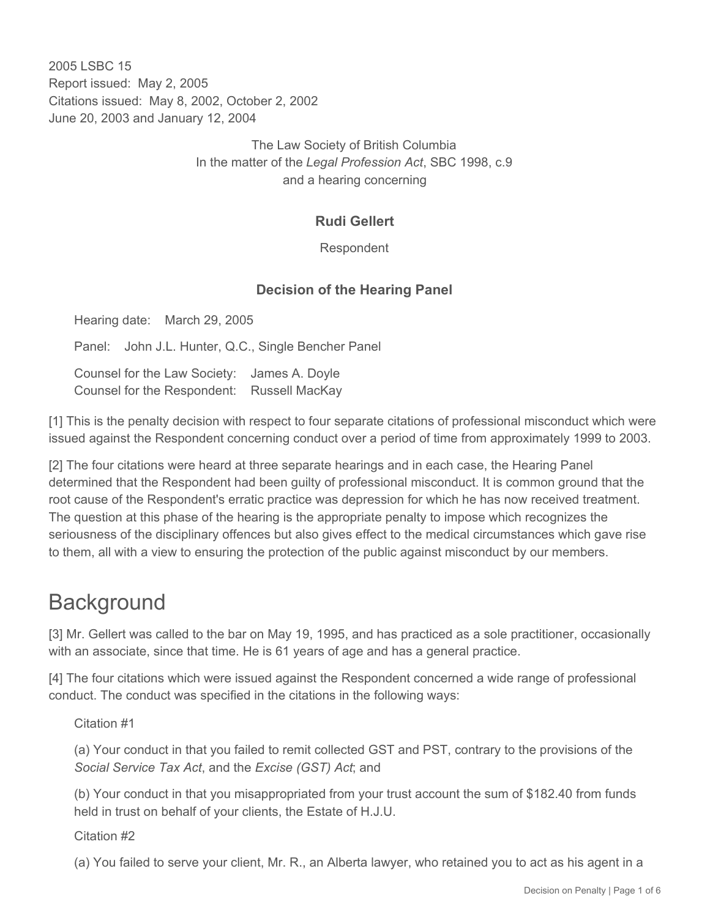2005 LSBC 15 Report issued: May 2, 2005 Citations issued: May 8, 2002, October 2, 2002 June 20, 2003 and January 12, 2004

> The Law Society of British Columbia In the matter of the *Legal Profession Act*, SBC 1998, c.9 and a hearing concerning

### **Rudi Gellert**

Respondent

#### **Decision of the Hearing Panel**

Hearing date: March 29, 2005

Panel: John J.L. Hunter, Q.C., Single Bencher Panel

Counsel for the Law Society: James A. Doyle Counsel for the Respondent: Russell MacKay

[1] This is the penalty decision with respect to four separate citations of professional misconduct which were issued against the Respondent concerning conduct over a period of time from approximately 1999 to 2003.

[2] The four citations were heard at three separate hearings and in each case, the Hearing Panel determined that the Respondent had been guilty of professional misconduct. It is common ground that the root cause of the Respondent's erratic practice was depression for which he has now received treatment. The question at this phase of the hearing is the appropriate penalty to impose which recognizes the seriousness of the disciplinary offences but also gives effect to the medical circumstances which gave rise to them, all with a view to ensuring the protection of the public against misconduct by our members.

## **Background**

[3] Mr. Gellert was called to the bar on May 19, 1995, and has practiced as a sole practitioner, occasionally with an associate, since that time. He is 61 years of age and has a general practice.

[4] The four citations which were issued against the Respondent concerned a wide range of professional conduct. The conduct was specified in the citations in the following ways:

Citation #1

(a) Your conduct in that you failed to remit collected GST and PST, contrary to the provisions of the *Social Service Tax Act*, and the *Excise (GST) Act*; and

(b) Your conduct in that you misappropriated from your trust account the sum of \$182.40 from funds held in trust on behalf of your clients, the Estate of H.J.U.

Citation #2

(a) You failed to serve your client, Mr. R., an Alberta lawyer, who retained you to act as his agent in a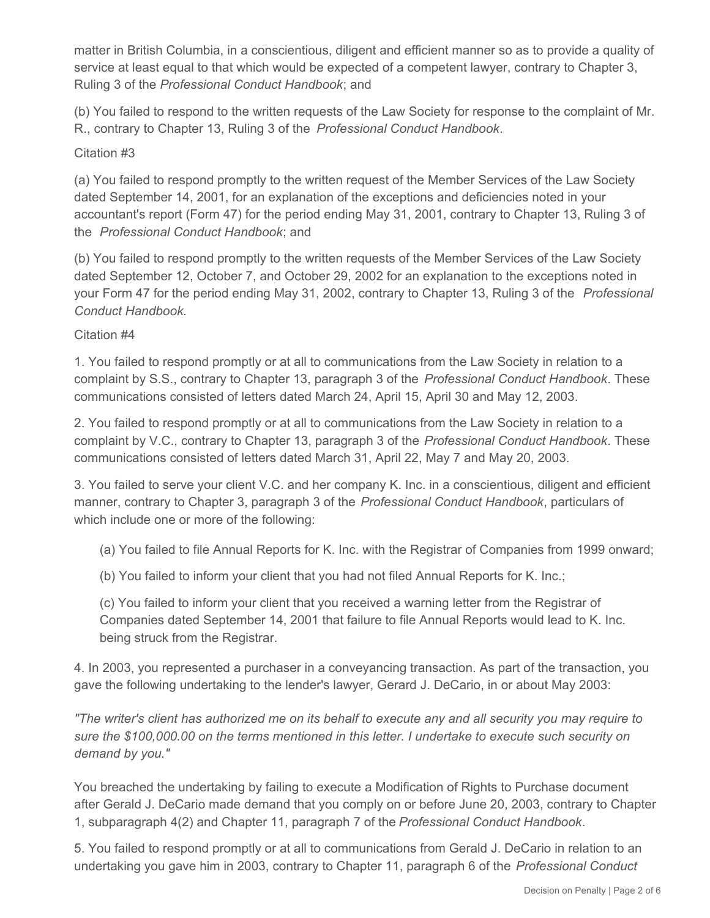matter in British Columbia, in a conscientious, diligent and efficient manner so as to provide a quality of service at least equal to that which would be expected of a competent lawyer, contrary to Chapter 3, Ruling 3 of the *Professional Conduct Handbook*; and

(b) You failed to respond to the written requests of the Law Society for response to the complaint of Mr. R., contrary to Chapter 13, Ruling 3 of the *Professional Conduct Handbook*.

#### Citation #3

(a) You failed to respond promptly to the written request of the Member Services of the Law Society dated September 14, 2001, for an explanation of the exceptions and deficiencies noted in your accountant's report (Form 47) for the period ending May 31, 2001, contrary to Chapter 13, Ruling 3 of the *Professional Conduct Handbook*; and

(b) You failed to respond promptly to the written requests of the Member Services of the Law Society dated September 12, October 7, and October 29, 2002 for an explanation to the exceptions noted in your Form 47 for the period ending May 31, 2002, contrary to Chapter 13, Ruling 3 of the *Professional Conduct Handbook*.

### Citation #4

1. You failed to respond promptly or at all to communications from the Law Society in relation to a complaint by S.S., contrary to Chapter 13, paragraph 3 of the *Professional Conduct Handbook*. These communications consisted of letters dated March 24, April 15, April 30 and May 12, 2003.

2. You failed to respond promptly or at all to communications from the Law Society in relation to a complaint by V.C., contrary to Chapter 13, paragraph 3 of the *Professional Conduct Handbook*. These communications consisted of letters dated March 31, April 22, May 7 and May 20, 2003.

3. You failed to serve your client V.C. and her company K. Inc. in a conscientious, diligent and efficient manner, contrary to Chapter 3, paragraph 3 of the *Professional Conduct Handbook*, particulars of which include one or more of the following:

- (a) You failed to file Annual Reports for K. Inc. with the Registrar of Companies from 1999 onward;
- (b) You failed to inform your client that you had not filed Annual Reports for K. Inc.;

(c) You failed to inform your client that you received a warning letter from the Registrar of Companies dated September 14, 2001 that failure to file Annual Reports would lead to K. Inc. being struck from the Registrar.

4. In 2003, you represented a purchaser in a conveyancing transaction. As part of the transaction, you gave the following undertaking to the lender's lawyer, Gerard J. DeCario, in or about May 2003:

*"The writer's client has authorized me on its behalf to execute any and all security you may require to sure the \$100,000.00 on the terms mentioned in this letter. I undertake to execute such security on demand by you."* 

You breached the undertaking by failing to execute a Modification of Rights to Purchase document after Gerald J. DeCario made demand that you comply on or before June 20, 2003, contrary to Chapter 1, subparagraph 4(2) and Chapter 11, paragraph 7 of the *Professional Conduct Handbook*.

5. You failed to respond promptly or at all to communications from Gerald J. DeCario in relation to an undertaking you gave him in 2003, contrary to Chapter 11, paragraph 6 of the *Professional Conduct*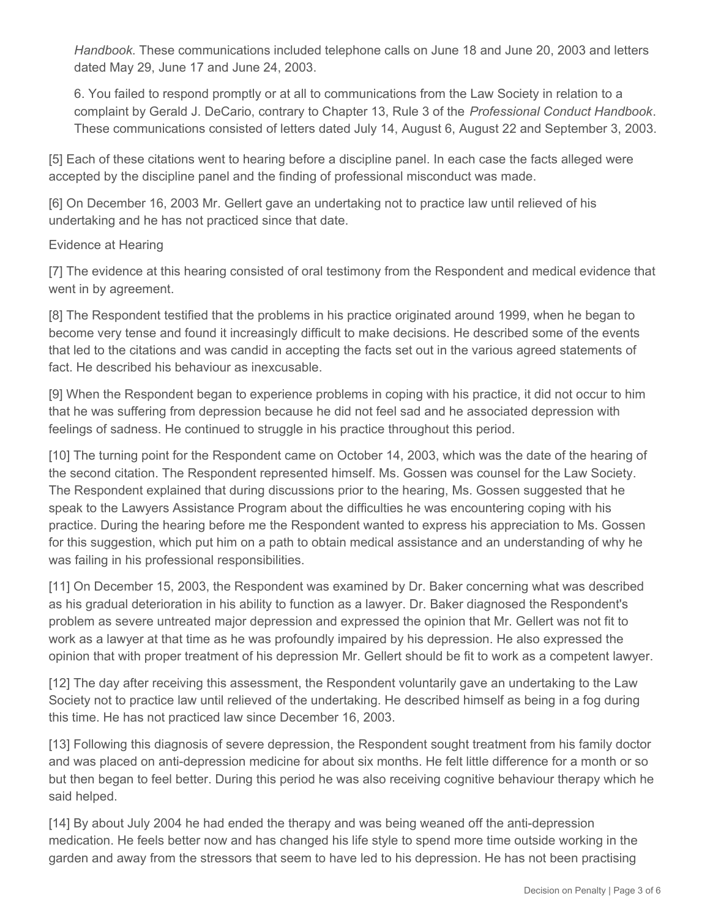*Handbook*. These communications included telephone calls on June 18 and June 20, 2003 and letters dated May 29, June 17 and June 24, 2003.

6. You failed to respond promptly or at all to communications from the Law Society in relation to a complaint by Gerald J. DeCario, contrary to Chapter 13, Rule 3 of the *Professional Conduct Handbook*. These communications consisted of letters dated July 14, August 6, August 22 and September 3, 2003.

[5] Each of these citations went to hearing before a discipline panel. In each case the facts alleged were accepted by the discipline panel and the finding of professional misconduct was made.

[6] On December 16, 2003 Mr. Gellert gave an undertaking not to practice law until relieved of his undertaking and he has not practiced since that date.

#### Evidence at Hearing

[7] The evidence at this hearing consisted of oral testimony from the Respondent and medical evidence that went in by agreement.

[8] The Respondent testified that the problems in his practice originated around 1999, when he began to become very tense and found it increasingly difficult to make decisions. He described some of the events that led to the citations and was candid in accepting the facts set out in the various agreed statements of fact. He described his behaviour as inexcusable.

[9] When the Respondent began to experience problems in coping with his practice, it did not occur to him that he was suffering from depression because he did not feel sad and he associated depression with feelings of sadness. He continued to struggle in his practice throughout this period.

[10] The turning point for the Respondent came on October 14, 2003, which was the date of the hearing of the second citation. The Respondent represented himself. Ms. Gossen was counsel for the Law Society. The Respondent explained that during discussions prior to the hearing, Ms. Gossen suggested that he speak to the Lawyers Assistance Program about the difficulties he was encountering coping with his practice. During the hearing before me the Respondent wanted to express his appreciation to Ms. Gossen for this suggestion, which put him on a path to obtain medical assistance and an understanding of why he was failing in his professional responsibilities.

[11] On December 15, 2003, the Respondent was examined by Dr. Baker concerning what was described as his gradual deterioration in his ability to function as a lawyer. Dr. Baker diagnosed the Respondent's problem as severe untreated major depression and expressed the opinion that Mr. Gellert was not fit to work as a lawyer at that time as he was profoundly impaired by his depression. He also expressed the opinion that with proper treatment of his depression Mr. Gellert should be fit to work as a competent lawyer.

[12] The day after receiving this assessment, the Respondent voluntarily gave an undertaking to the Law Society not to practice law until relieved of the undertaking. He described himself as being in a fog during this time. He has not practiced law since December 16, 2003.

[13] Following this diagnosis of severe depression, the Respondent sought treatment from his family doctor and was placed on anti-depression medicine for about six months. He felt little difference for a month or so but then began to feel better. During this period he was also receiving cognitive behaviour therapy which he said helped.

[14] By about July 2004 he had ended the therapy and was being weaned off the anti-depression medication. He feels better now and has changed his life style to spend more time outside working in the garden and away from the stressors that seem to have led to his depression. He has not been practising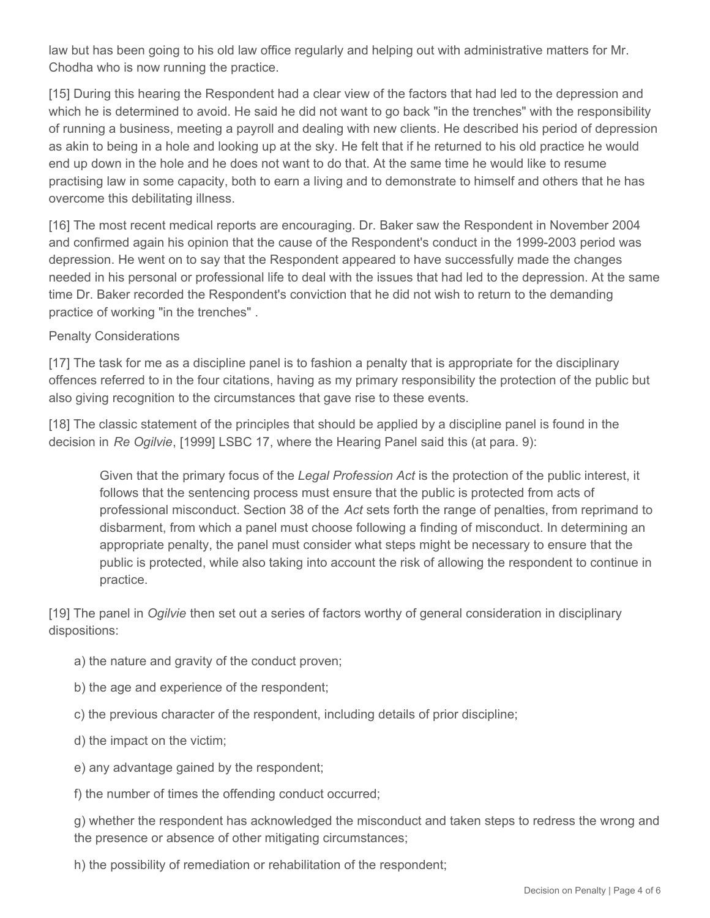law but has been going to his old law office regularly and helping out with administrative matters for Mr. Chodha who is now running the practice.

[15] During this hearing the Respondent had a clear view of the factors that had led to the depression and which he is determined to avoid. He said he did not want to go back "in the trenches" with the responsibility of running a business, meeting a payroll and dealing with new clients. He described his period of depression as akin to being in a hole and looking up at the sky. He felt that if he returned to his old practice he would end up down in the hole and he does not want to do that. At the same time he would like to resume practising law in some capacity, both to earn a living and to demonstrate to himself and others that he has overcome this debilitating illness.

[16] The most recent medical reports are encouraging. Dr. Baker saw the Respondent in November 2004 and confirmed again his opinion that the cause of the Respondent's conduct in the 1999-2003 period was depression. He went on to say that the Respondent appeared to have successfully made the changes needed in his personal or professional life to deal with the issues that had led to the depression. At the same time Dr. Baker recorded the Respondent's conviction that he did not wish to return to the demanding practice of working "in the trenches" .

#### Penalty Considerations

[17] The task for me as a discipline panel is to fashion a penalty that is appropriate for the disciplinary offences referred to in the four citations, having as my primary responsibility the protection of the public but also giving recognition to the circumstances that gave rise to these events.

[18] The classic statement of the principles that should be applied by a discipline panel is found in the decision in *Re Ogilvie*, [1999] LSBC 17, where the Hearing Panel said this (at para. 9):

Given that the primary focus of the *Legal Profession Act* is the protection of the public interest, it follows that the sentencing process must ensure that the public is protected from acts of professional misconduct. Section 38 of the *Act* sets forth the range of penalties, from reprimand to disbarment, from which a panel must choose following a finding of misconduct. In determining an appropriate penalty, the panel must consider what steps might be necessary to ensure that the public is protected, while also taking into account the risk of allowing the respondent to continue in practice.

[19] The panel in *Ogilvie* then set out a series of factors worthy of general consideration in disciplinary dispositions:

- a) the nature and gravity of the conduct proven;
- b) the age and experience of the respondent;
- c) the previous character of the respondent, including details of prior discipline;
- d) the impact on the victim;
- e) any advantage gained by the respondent;

f) the number of times the offending conduct occurred;

g) whether the respondent has acknowledged the misconduct and taken steps to redress the wrong and the presence or absence of other mitigating circumstances;

h) the possibility of remediation or rehabilitation of the respondent;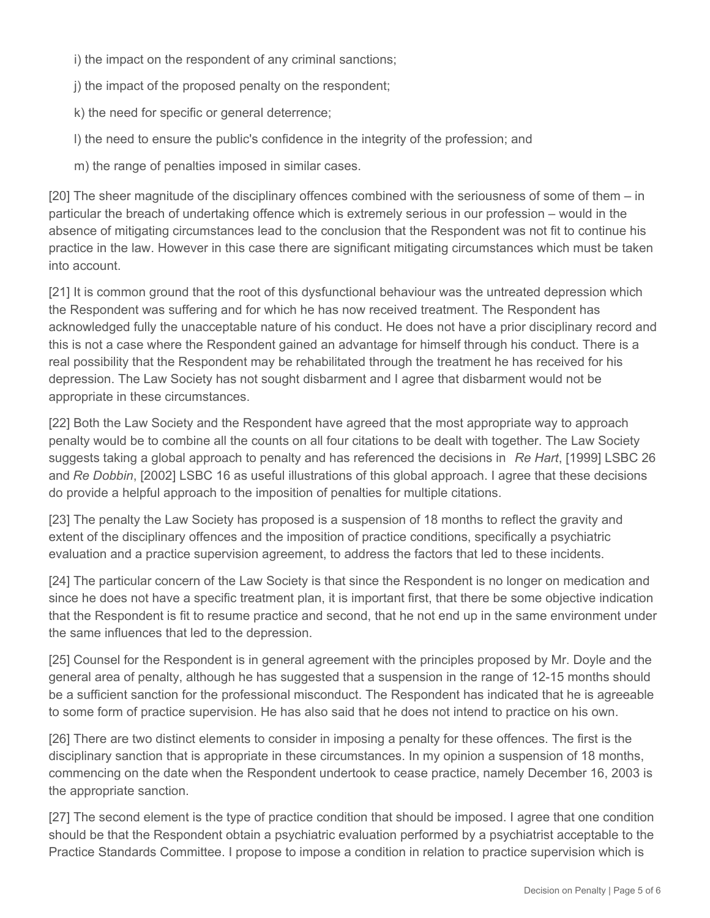i) the impact on the respondent of any criminal sanctions;

j) the impact of the proposed penalty on the respondent;

k) the need for specific or general deterrence;

l) the need to ensure the public's confidence in the integrity of the profession; and

m) the range of penalties imposed in similar cases.

[20] The sheer magnitude of the disciplinary offences combined with the seriousness of some of them – in particular the breach of undertaking offence which is extremely serious in our profession – would in the absence of mitigating circumstances lead to the conclusion that the Respondent was not fit to continue his practice in the law. However in this case there are significant mitigating circumstances which must be taken into account.

[21] It is common ground that the root of this dysfunctional behaviour was the untreated depression which the Respondent was suffering and for which he has now received treatment. The Respondent has acknowledged fully the unacceptable nature of his conduct. He does not have a prior disciplinary record and this is not a case where the Respondent gained an advantage for himself through his conduct. There is a real possibility that the Respondent may be rehabilitated through the treatment he has received for his depression. The Law Society has not sought disbarment and I agree that disbarment would not be appropriate in these circumstances.

[22] Both the Law Society and the Respondent have agreed that the most appropriate way to approach penalty would be to combine all the counts on all four citations to be dealt with together. The Law Society suggests taking a global approach to penalty and has referenced the decisions in *Re Hart*, [1999] LSBC 26 and *Re Dobbin*, [2002] LSBC 16 as useful illustrations of this global approach. I agree that these decisions do provide a helpful approach to the imposition of penalties for multiple citations.

[23] The penalty the Law Society has proposed is a suspension of 18 months to reflect the gravity and extent of the disciplinary offences and the imposition of practice conditions, specifically a psychiatric evaluation and a practice supervision agreement, to address the factors that led to these incidents.

[24] The particular concern of the Law Society is that since the Respondent is no longer on medication and since he does not have a specific treatment plan, it is important first, that there be some objective indication that the Respondent is fit to resume practice and second, that he not end up in the same environment under the same influences that led to the depression.

[25] Counsel for the Respondent is in general agreement with the principles proposed by Mr. Doyle and the general area of penalty, although he has suggested that a suspension in the range of 12-15 months should be a sufficient sanction for the professional misconduct. The Respondent has indicated that he is agreeable to some form of practice supervision. He has also said that he does not intend to practice on his own.

[26] There are two distinct elements to consider in imposing a penalty for these offences. The first is the disciplinary sanction that is appropriate in these circumstances. In my opinion a suspension of 18 months, commencing on the date when the Respondent undertook to cease practice, namely December 16, 2003 is the appropriate sanction.

[27] The second element is the type of practice condition that should be imposed. I agree that one condition should be that the Respondent obtain a psychiatric evaluation performed by a psychiatrist acceptable to the Practice Standards Committee. I propose to impose a condition in relation to practice supervision which is